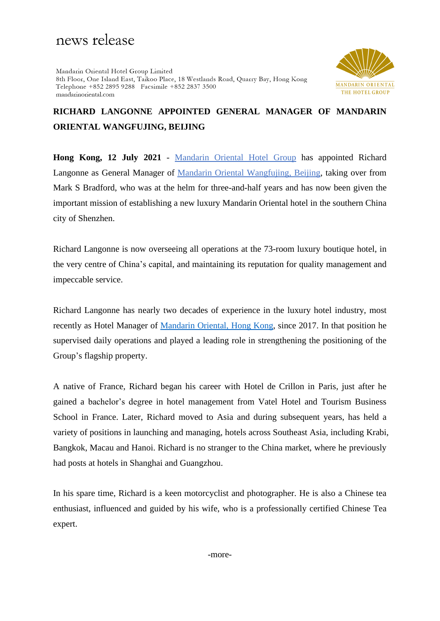# news release

Mandarin Oriental Hotel Group Limited 8th Floor, One Island East, Taikoo Place, 18 Westlands Road, Quarry Bay, Hong Kong Telephone +852 2895 9288 Facsimile +852 2837 3500 mandarinoriental.com



# **RICHARD LANGONNE APPOINTED GENERAL MANAGER OF MANDARIN ORIENTAL WANGFUJING, BEIJING**

**Hong Kong, 12 July 2021** - [Mandarin Oriental Hotel Group](https://www.mandarinoriental.com/) has appointed Richard Langonne as General Manager of [Mandarin Oriental Wangfujing, Beijing,](https://www.mandarinoriental.com/beijing/wangfujing/luxury-hotel) taking over from Mark S Bradford, who was at the helm for three-and-half years and has now been given the important mission of establishing a new luxury Mandarin Oriental hotel in the southern China city of Shenzhen.

Richard Langonne is now overseeing all operations at the 73-room luxury boutique hotel, in the very centre of China's capital, and maintaining its reputation for quality management and impeccable service.

Richard Langonne has nearly two decades of experience in the luxury hotel industry, most recently as Hotel Manager of [Mandarin Oriental, Hong Kong,](https://www.mandarinoriental.com/hong-kong/victoria-harbour/luxury-hotel) since 2017. In that position he supervised daily operations and played a leading role in strengthening the positioning of the Group's flagship property.

A native of France, Richard began his career with Hotel de Crillon in Paris, just after he gained a bachelor's degree in hotel management from Vatel Hotel and Tourism Business School in France. Later, Richard moved to Asia and during subsequent years, has held a variety of positions in launching and managing, hotels across Southeast Asia, including Krabi, Bangkok, Macau and Hanoi. Richard is no stranger to the China market, where he previously had posts at hotels in Shanghai and Guangzhou.

In his spare time, Richard is a keen motorcyclist and photographer. He is also a Chinese tea enthusiast, influenced and guided by his wife, who is a professionally certified Chinese Tea expert.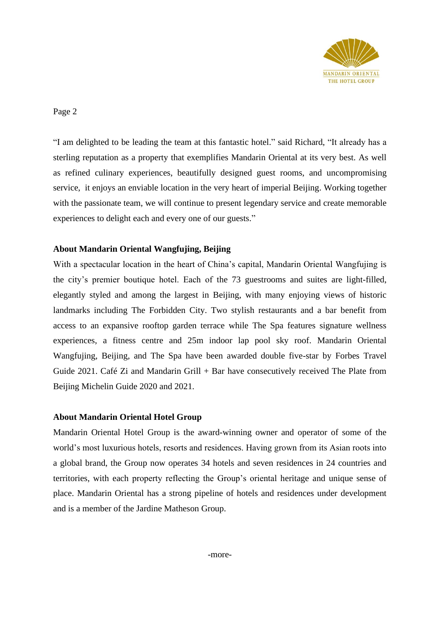

Page 2

"I am delighted to be leading the team at this fantastic hotel." said Richard, "It already has a sterling reputation as a property that exemplifies Mandarin Oriental at its very best. As well as refined culinary experiences, beautifully designed guest rooms, and uncompromising service, it enjoys an enviable location in the very heart of imperial Beijing. Working together with the passionate team, we will continue to present legendary service and create memorable experiences to delight each and every one of our guests."

## **About Mandarin Oriental Wangfujing, Beijing**

With a spectacular location in the heart of China's capital, Mandarin Oriental Wangfujing is the city's premier boutique hotel. Each of the 73 guestrooms and suites are light-filled, elegantly styled and among the largest in Beijing, with many enjoying views of historic landmarks including The Forbidden City. Two stylish restaurants and a bar benefit from access to an expansive rooftop garden terrace while The Spa features signature wellness experiences, a fitness centre and 25m indoor lap pool sky roof. Mandarin Oriental Wangfujing, Beijing, and The Spa have been awarded double five-star by Forbes Travel Guide 2021. Café Zi and Mandarin Grill + Bar have consecutively received The Plate from Beijing Michelin Guide 2020 and 2021.

### **About Mandarin Oriental Hotel Group**

Mandarin Oriental Hotel Group is the award-winning owner and operator of some of the world's most luxurious hotels, resorts and residences. Having grown from its Asian roots into a global brand, the Group now operates 34 hotels and seven residences in 24 countries and territories, with each property reflecting the Group's oriental heritage and unique sense of place. Mandarin Oriental has a strong pipeline of hotels and residences under development and is a member of the Jardine Matheson Group.